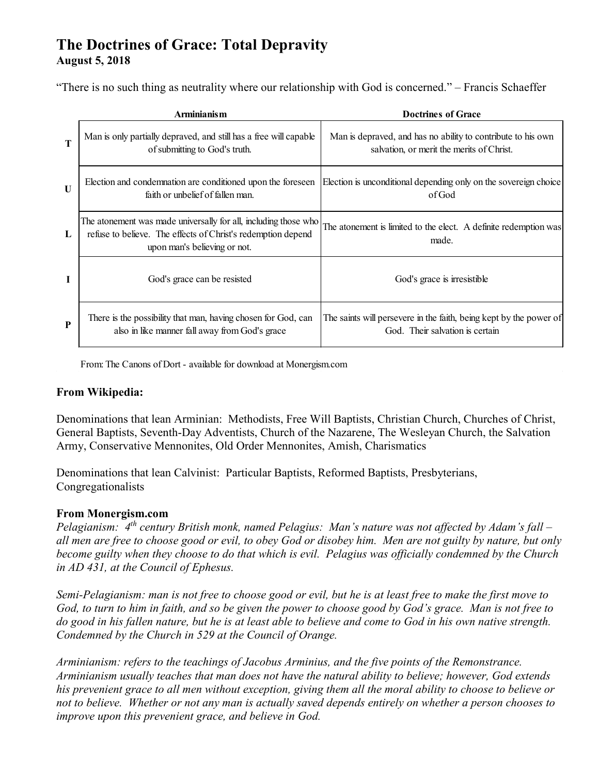# **The Doctrines of Grace: Total Depravity August 5, 2018**

"There is no such thing as neutrality where our relationship with God is concerned." – Francis Schaeffer

|             | <b>Arminianism</b>                                                                                                                                              | <b>Doctrines of Grace</b>                                                                                                               |
|-------------|-----------------------------------------------------------------------------------------------------------------------------------------------------------------|-----------------------------------------------------------------------------------------------------------------------------------------|
| $\mathbf T$ | Man is only partially depraved, and still has a free will capable<br>of submitting to God's truth.                                                              | Man is depraved, and has no ability to contribute to his own<br>salvation, or merit the merits of Christ.                               |
| $\mathbf U$ | faith or unbelief of fallen man.                                                                                                                                | Election and condemnation are conditioned upon the foreseen [Election is unconditional depending only on the sovereign choice]<br>ofGod |
| L           | The atonement was made universally for all, including those who<br>refuse to believe. The effects of Christ's redemption depend<br>upon man's believing or not. | The atonement is limited to the elect. A definite redemption was<br>made.                                                               |
| I           | God's grace can be resisted                                                                                                                                     | God's grace is irresistible                                                                                                             |
| P           | There is the possibility that man, having chosen for God, can<br>also in like manner fall away from God's grace                                                 | The saints will persevere in the faith, being kept by the power of<br>God. Their salvation is certain                                   |

From: The Canons of Dort - available for download at Monergism.com

## **From Wikipedia:**

Denominations that lean Arminian: Methodists, Free Will Baptists, Christian Church, Churches of Christ, General Baptists, Seventh-Day Adventists, Church of the Nazarene, The Wesleyan Church, the Salvation Army, Conservative Mennonites, Old Order Mennonites, Amish, Charismatics

Denominations that lean Calvinist: Particular Baptists, Reformed Baptists, Presbyterians, Congregationalists

#### **From Monergism.com**

*Pelagianism: 4th century British monk, named Pelagius: Man's nature was not affected by Adam's fall – all men are free to choose good or evil, to obey God or disobey him. Men are not guilty by nature, but only become guilty when they choose to do that which is evil. Pelagius was officially condemned by the Church in AD 431, at the Council of Ephesus.* 

*Semi-Pelagianism: man is not free to choose good or evil, but he is at least free to make the first move to God, to turn to him in faith, and so be given the power to choose good by God's grace. Man is not free to do good in his fallen nature, but he is at least able to believe and come to God in his own native strength. Condemned by the Church in 529 at the Council of Orange.* 

*Arminianism: refers to the teachings of Jacobus Arminius, and the five points of the Remonstrance. Arminianism usually teaches that man does not have the natural ability to believe; however, God extends his prevenient grace to all men without exception, giving them all the moral ability to choose to believe or not to believe. Whether or not any man is actually saved depends entirely on whether a person chooses to improve upon this prevenient grace, and believe in God.*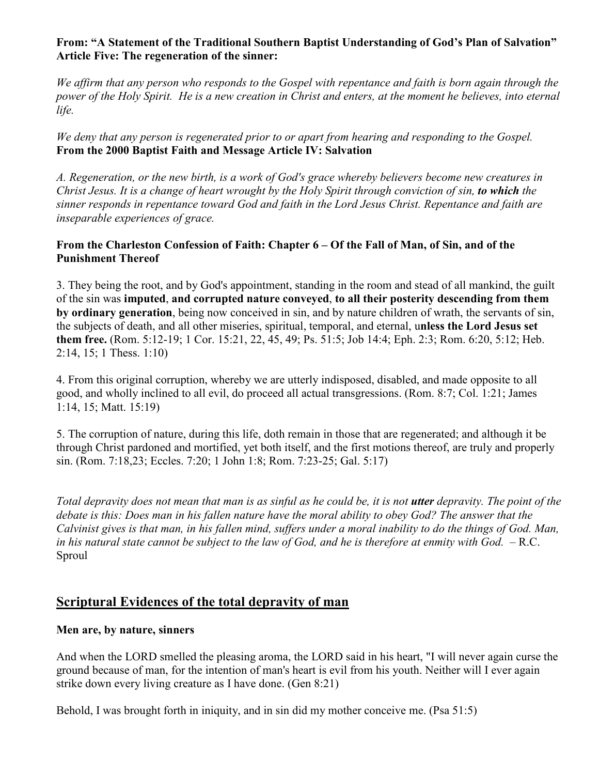## **From: "A Statement of the Traditional Southern Baptist Understanding of God's Plan of Salvation" Article Five: The regeneration of the sinner:**

*We affirm that any person who responds to the Gospel with repentance and faith is born again through the power of the Holy Spirit. He is a new creation in Christ and enters, at the moment he believes, into eternal life.* 

*We deny that any person is regenerated prior to or apart from hearing and responding to the Gospel.*  **From the 2000 Baptist Faith and Message Article IV: Salvation** 

*A. Regeneration, or the new birth, is a work of God's grace whereby believers become new creatures in Christ Jesus. It is a change of heart wrought by the Holy Spirit through conviction of sin, to which the sinner responds in repentance toward God and faith in the Lord Jesus Christ. Repentance and faith are inseparable experiences of grace.* 

## **From the Charleston Confession of Faith: Chapter 6 – Of the Fall of Man, of Sin, and of the Punishment Thereof**

3. They being the root, and by God's appointment, standing in the room and stead of all mankind, the guilt of the sin was **imputed**, **and corrupted nature conveyed**, **to all their posterity descending from them by ordinary generation**, being now conceived in sin, and by nature children of wrath, the servants of sin, the subjects of death, and all other miseries, spiritual, temporal, and eternal, u**nless the Lord Jesus set them free.** (Rom. 5:12-19; 1 Cor. 15:21, 22, 45, 49; Ps. 51:5; Job 14:4; Eph. 2:3; Rom. 6:20, 5:12; Heb. 2:14, 15; 1 Thess. 1:10)

4. From this original corruption, whereby we are utterly indisposed, disabled, and made opposite to all good, and wholly inclined to all evil, do proceed all actual transgressions. (Rom. 8:7; Col. 1:21; James 1:14, 15; Matt. 15:19)

5. The corruption of nature, during this life, doth remain in those that are regenerated; and although it be through Christ pardoned and mortified, yet both itself, and the first motions thereof, are truly and properly sin. (Rom. 7:18,23; Eccles. 7:20; 1 John 1:8; Rom. 7:23-25; Gal. 5:17)

*Total depravity does not mean that man is as sinful as he could be, it is not utter depravity. The point of the debate is this: Does man in his fallen nature have the moral ability to obey God? The answer that the Calvinist gives is that man, in his fallen mind, suffers under a moral inability to do the things of God. Man,*  in his natural state cannot be subject to the law of God, and he is therefore at enmity with God. – R.C. Sproul

# **Scriptural Evidences of the total depravity of man**

## **Men are, by nature, sinners**

And when the LORD smelled the pleasing aroma, the LORD said in his heart, "I will never again curse the ground because of man, for the intention of man's heart is evil from his youth. Neither will I ever again strike down every living creature as I have done. (Gen 8:21)

Behold, I was brought forth in iniquity, and in sin did my mother conceive me. (Psa 51:5)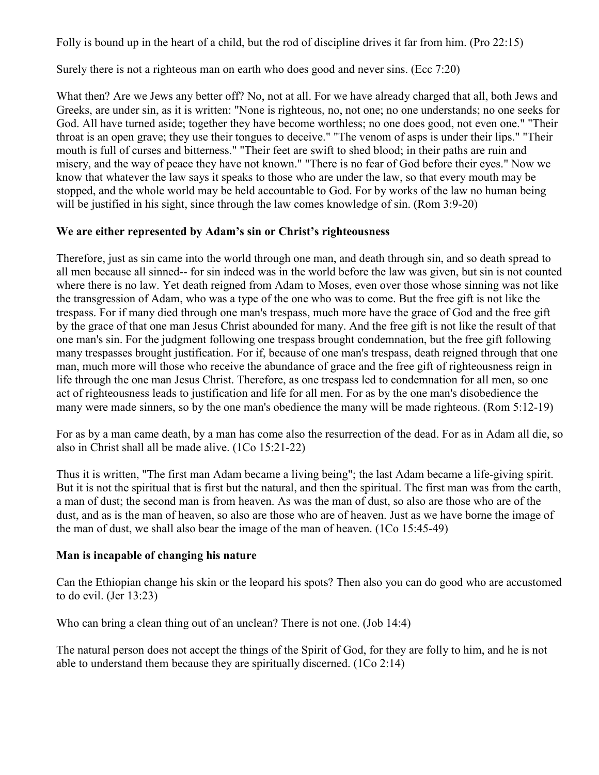Folly is bound up in the heart of a child, but the rod of discipline drives it far from him. (Pro 22:15)

Surely there is not a righteous man on earth who does good and never sins. (Ecc 7:20)

What then? Are we Jews any better off? No, not at all. For we have already charged that all, both Jews and Greeks, are under sin, as it is written: "None is righteous, no, not one; no one understands; no one seeks for God. All have turned aside; together they have become worthless; no one does good, not even one." "Their throat is an open grave; they use their tongues to deceive." "The venom of asps is under their lips." "Their mouth is full of curses and bitterness." "Their feet are swift to shed blood; in their paths are ruin and misery, and the way of peace they have not known." "There is no fear of God before their eyes." Now we know that whatever the law says it speaks to those who are under the law, so that every mouth may be stopped, and the whole world may be held accountable to God. For by works of the law no human being will be justified in his sight, since through the law comes knowledge of sin. (Rom 3:9-20)

## **We are either represented by Adam's sin or Christ's righteousness**

Therefore, just as sin came into the world through one man, and death through sin, and so death spread to all men because all sinned-- for sin indeed was in the world before the law was given, but sin is not counted where there is no law. Yet death reigned from Adam to Moses, even over those whose sinning was not like the transgression of Adam, who was a type of the one who was to come. But the free gift is not like the trespass. For if many died through one man's trespass, much more have the grace of God and the free gift by the grace of that one man Jesus Christ abounded for many. And the free gift is not like the result of that one man's sin. For the judgment following one trespass brought condemnation, but the free gift following many trespasses brought justification. For if, because of one man's trespass, death reigned through that one man, much more will those who receive the abundance of grace and the free gift of righteousness reign in life through the one man Jesus Christ. Therefore, as one trespass led to condemnation for all men, so one act of righteousness leads to justification and life for all men. For as by the one man's disobedience the many were made sinners, so by the one man's obedience the many will be made righteous. (Rom 5:12-19)

For as by a man came death, by a man has come also the resurrection of the dead. For as in Adam all die, so also in Christ shall all be made alive. (1Co 15:21-22)

Thus it is written, "The first man Adam became a living being"; the last Adam became a life-giving spirit. But it is not the spiritual that is first but the natural, and then the spiritual. The first man was from the earth, a man of dust; the second man is from heaven. As was the man of dust, so also are those who are of the dust, and as is the man of heaven, so also are those who are of heaven. Just as we have borne the image of the man of dust, we shall also bear the image of the man of heaven. (1Co 15:45-49)

## **Man is incapable of changing his nature**

Can the Ethiopian change his skin or the leopard his spots? Then also you can do good who are accustomed to do evil. (Jer 13:23)

Who can bring a clean thing out of an unclean? There is not one. (Job 14:4)

The natural person does not accept the things of the Spirit of God, for they are folly to him, and he is not able to understand them because they are spiritually discerned. (1Co 2:14)